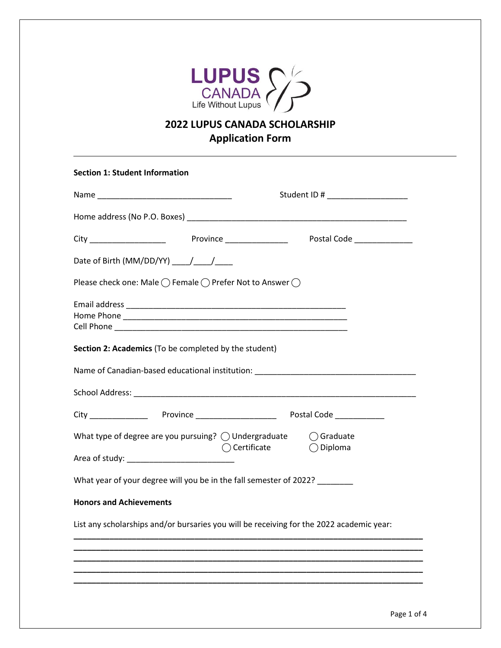

# **2022 LUPUS CANADA SCHOLARSHIP Application Form**

| <b>Section 1: Student Information</b>                                                    |                                           |                                                                                                 |  |  |
|------------------------------------------------------------------------------------------|-------------------------------------------|-------------------------------------------------------------------------------------------------|--|--|
|                                                                                          |                                           | Student ID # ____________________                                                               |  |  |
|                                                                                          |                                           |                                                                                                 |  |  |
|                                                                                          |                                           |                                                                                                 |  |  |
|                                                                                          |                                           |                                                                                                 |  |  |
| Please check one: Male ◯ Female ◯ Prefer Not to Answer ◯                                 |                                           |                                                                                                 |  |  |
|                                                                                          |                                           |                                                                                                 |  |  |
| Section 2: Academics (To be completed by the student)                                    |                                           |                                                                                                 |  |  |
|                                                                                          |                                           | Name of Canadian-based educational institution: Name of Canadian-based educational institution: |  |  |
|                                                                                          |                                           |                                                                                                 |  |  |
|                                                                                          |                                           |                                                                                                 |  |  |
| What type of degree are you pursuing? $\bigcirc$ Undergraduate $\bigcirc$ Graduate       | $\bigcirc$ Certificate $\bigcirc$ Diploma |                                                                                                 |  |  |
| What year of your degree will you be in the fall semester of 2022?                       |                                           |                                                                                                 |  |  |
| <b>Honors and Achievements</b>                                                           |                                           |                                                                                                 |  |  |
| List any scholarships and/or bursaries you will be receiving for the 2022 academic year: |                                           |                                                                                                 |  |  |
|                                                                                          |                                           |                                                                                                 |  |  |
|                                                                                          |                                           |                                                                                                 |  |  |
|                                                                                          |                                           |                                                                                                 |  |  |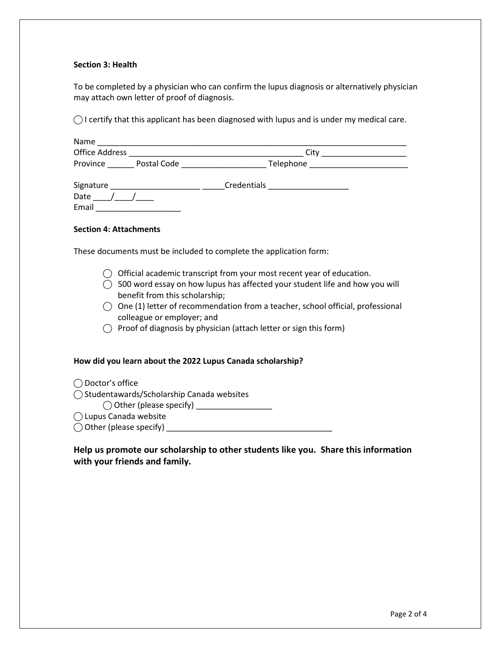## **Section 3: Health**

To be completed by a physician who can confirm the lupus diagnosis or alternatively physician may attach own letter of proof of diagnosis.

 $\bigcirc$  I certify that this applicant has been diagnosed with lupus and is under my medical care.

| Name                  |             |             |  |
|-----------------------|-------------|-------------|--|
| <b>Office Address</b> |             | Citv        |  |
| Province              | Postal Code | Telephone   |  |
| Signature<br>Date     |             | Credentials |  |

# **Section 4: Attachments**

Email \_\_\_\_\_\_\_\_\_\_\_\_\_\_\_\_\_\_\_

These documents must be included to complete the application form:

- ⃝ Official academic transcript from your most recent year of education.
- $\bigcirc$  500 word essay on how lupus has affected your student life and how you will benefit from this scholarship;
- ⃝ One (1) letter of recommendation from a teacher, school official, professional colleague or employer; and
- $\bigcirc$  Proof of diagnosis by physician (attach letter or sign this form)

## **How did you learn about the 2022 Lupus Canada scholarship?**

◯ Doctor's office

⃝ Studentawards/Scholarship Canada websites

⃝ Other (please specify) \_\_\_\_\_\_\_\_\_\_\_\_\_\_\_\_\_

⃝ Lupus Canada website

 $\bigcirc$  Other (please specify)

**Help us promote our scholarship to other students like you. Share this information with your friends and family.**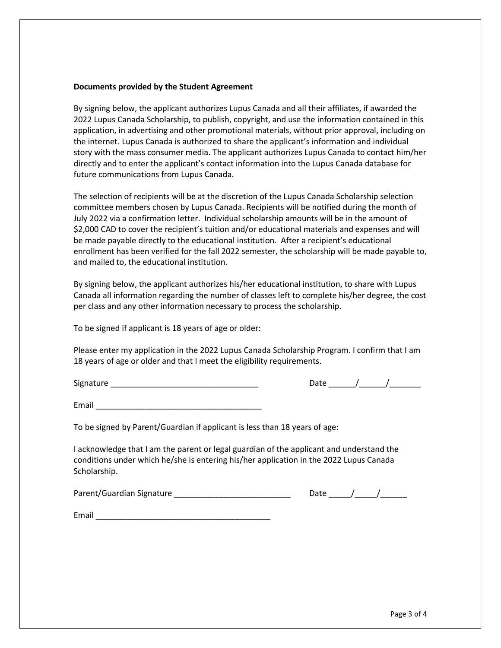#### **Documents provided by the Student Agreement**

By signing below, the applicant authorizes Lupus Canada and all their affiliates, if awarded the 2022 Lupus Canada Scholarship, to publish, copyright, and use the information contained in this application, in advertising and other promotional materials, without prior approval, including on the internet. Lupus Canada is authorized to share the applicant's information and individual story with the mass consumer media. The applicant authorizes Lupus Canada to contact him/her directly and to enter the applicant's contact information into the Lupus Canada database for future communications from Lupus Canada.

The selection of recipients will be at the discretion of the Lupus Canada Scholarship selection committee members chosen by Lupus Canada. Recipients will be notified during the month of July 2022 via a confirmation letter. Individual scholarship amounts will be in the amount of \$2,000 CAD to cover the recipient's tuition and/or educational materials and expenses and will be made payable directly to the educational institution. After a recipient's educational enrollment has been verified for the fall 2022 semester, the scholarship will be made payable to, and mailed to, the educational institution.

By signing below, the applicant authorizes his/her educational institution, to share with Lupus Canada all information regarding the number of classes left to complete his/her degree, the cost per class and any other information necessary to process the scholarship.

To be signed if applicant is 18 years of age or older:

Please enter my application in the 2022 Lupus Canada Scholarship Program. I confirm that I am 18 years of age or older and that I meet the eligibility requirements.

 $Signature \_$ 

Email  $\overline{\phantom{a}}$ 

To be signed by Parent/Guardian if applicant is less than 18 years of age:

I acknowledge that I am the parent or legal guardian of the applicant and understand the conditions under which he/she is entering his/her application in the 2022 Lupus Canada Scholarship.

| Parent/Guardian Signature | Date |  |
|---------------------------|------|--|
|                           |      |  |
|                           |      |  |

Email  $\blacksquare$